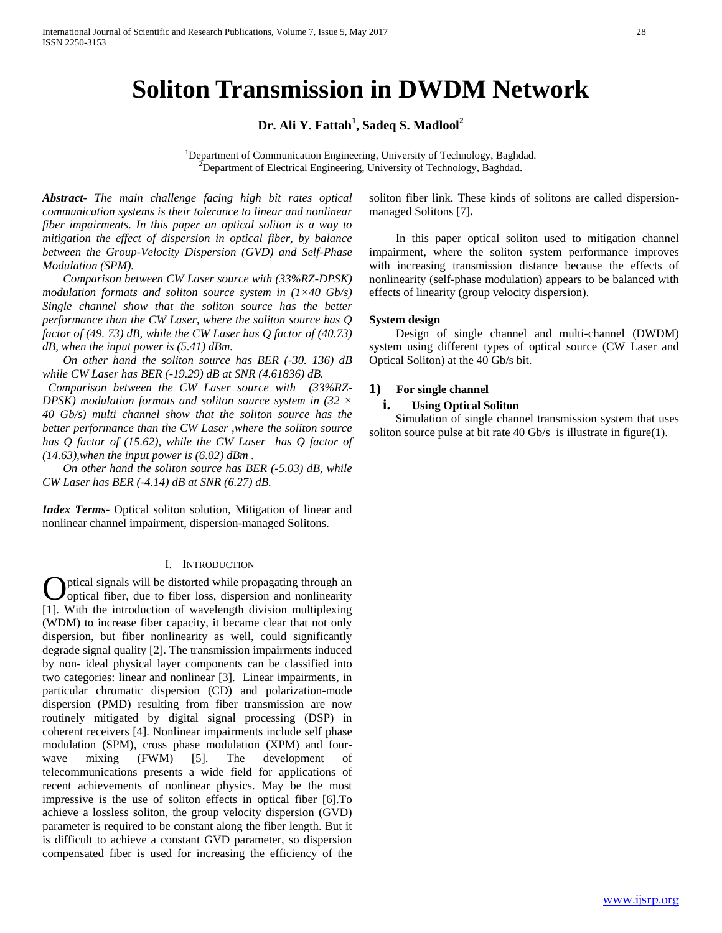# **Soliton Transmission in DWDM Network**

# **Dr. Ali Y. Fattah<sup>1</sup> , Sadeq S. Madlool<sup>2</sup>**

<sup>1</sup>Department of Communication Engineering, University of Technology, Baghdad. Department of Electrical Engineering, University of Technology, Baghdad.

*Abstract***-** *The main challenge facing high bit rates optical communication systems is their tolerance to linear and nonlinear fiber impairments*. *In this paper an optical soliton is a way to mitigation the effect of dispersion in optical fiber, by balance between the Group-Velocity Dispersion (GVD) and Self-Phase Modulation (SPM).* 

 *Comparison between CW Laser source with (33%RZ-DPSK) modulation formats and soliton source system in (1×40 Gb/s) Single channel show that the soliton source has the better performance than the CW Laser, where the soliton source has Q factor of (49. 73) dB, while the CW Laser has Q factor of (40.73) dB, when the input power is (5.41) dBm.* 

 *On other hand the soliton source has BER (-30. 136) dB while CW Laser has BER (-19.29) dB at SNR (4.61836) dB.* 

 *Comparison between the CW Laser source with (33%RZ-DPSK) modulation formats and soliton source system in (32 × 40 Gb/s) multi channel show that the soliton source has the better performance than the CW Laser ,where the soliton source has Q factor of (15.62), while the CW Laser has Q factor of (14.63),when the input power is (6.02) dBm .*

 *On other hand the soliton source has BER (-5.03) dB, while CW Laser has BER (-4.14) dB at SNR (6.27) dB.*

*Index Terms*- Optical soliton solution, Mitigation of linear and nonlinear channel impairment, dispersion-managed Solitons.

## I. INTRODUCTION

ptical signals will be distorted while propagating through an optical fiber, due to fiber loss, dispersion and nonlinearity **C** ptical signals will be distorted while propagating through an optical fiber, due to fiber loss, dispersion and nonlinearity [1]. With the introduction of wavelength division multiplexing (WDM) to increase fiber capacity, it became clear that not only dispersion, but fiber nonlinearity as well, could significantly degrade signal quality [2]. The transmission impairments induced by non- ideal physical layer components can be classified into two categories: linear and nonlinear [3]. Linear impairments, in particular chromatic dispersion (CD) and polarization-mode dispersion (PMD) resulting from fiber transmission are now routinely mitigated by digital signal processing (DSP) in coherent receivers [4]. Nonlinear impairments include self phase modulation (SPM), cross phase modulation (XPM) and fourwave mixing (FWM) [5]. The development of telecommunications presents a wide field for applications of recent achievements of nonlinear physics. May be the most impressive is the use of soliton effects in optical fiber [6].To achieve a lossless soliton, the group velocity dispersion (GVD) parameter is required to be constant along the fiber length. But it is difficult to achieve a constant GVD parameter, so dispersion compensated fiber is used for increasing the efficiency of the

soliton fiber link. These kinds of solitons are called dispersionmanaged Solitons [7]**.**

In this paper optical soliton used to mitigation channel impairment, where the soliton system performance improves with increasing transmission distance because the effects of nonlinearity (self-phase modulation) appears to be balanced with effects of linearity (group velocity dispersion).

## **System design**

Design of single channel and multi-channel (DWDM) system using different types of optical source (CW Laser and Optical Soliton) at the 40 Gb/s bit.

## **1) For single channel**

## **i. Using Optical Soliton**

Simulation of single channel transmission system that uses soliton source pulse at bit rate 40 Gb/s is illustrate in figure(1).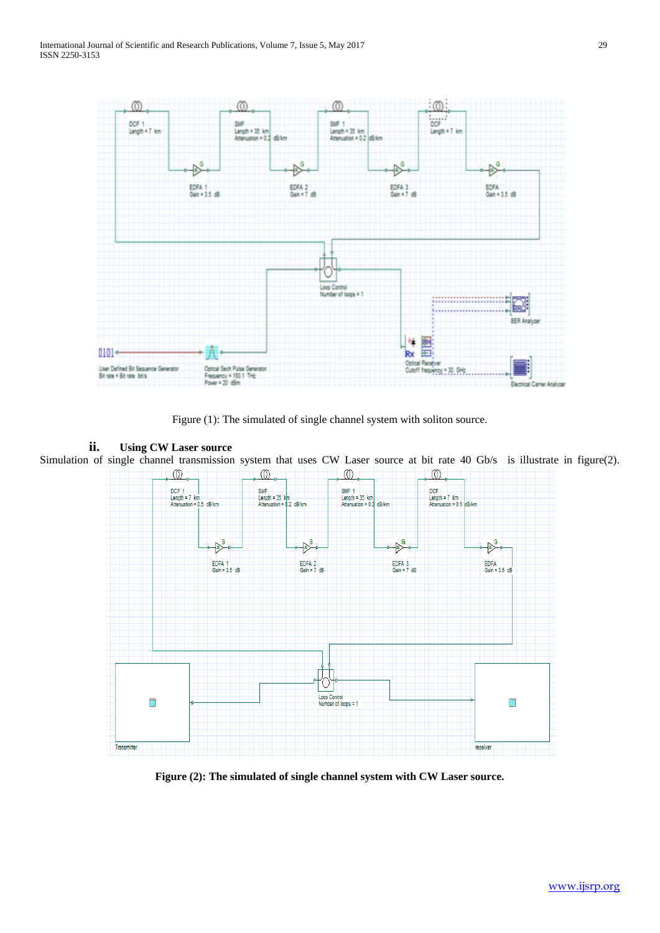

Figure (1): The simulated of single channel system with soliton source.

## **ii. Using CW Laser source**

Simulation of single channel transmission system that uses CW Laser source at bit rate 40 Gb/s is illustrate in figure(2).  $\circledD$  $\circledD$  $\circledD$  $\circledD$ 



**Figure (2): The simulated of single channel system with CW Laser source.**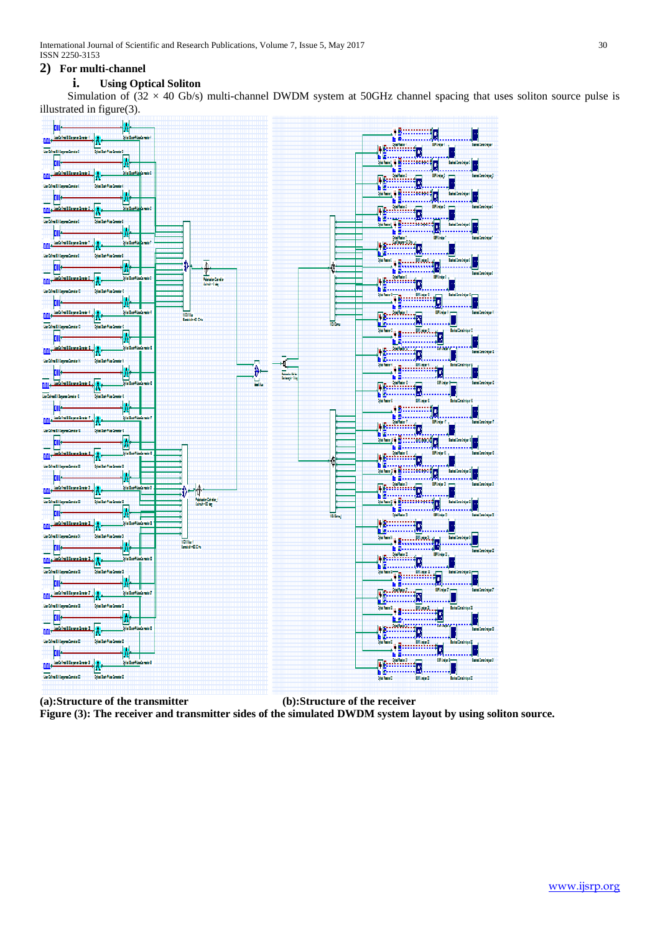International Journal of Scientific and Research Publications, Volume 7, Issue 5, May 2017 30 ISSN 2250-3153

## **2) For multi-channel**

# **i. Using Optical Soliton**

Simulation of  $(32 \times 40 \text{ Gb/s})$  multi-channel DWDM system at 50GHz channel spacing that uses soliton source pulse is illustrated in figure(3).



**(a):Structure of the transmitter (b):Structure of the receiver Figure (3): The receiver and transmitter sides of the simulated DWDM system layout by using soliton source.**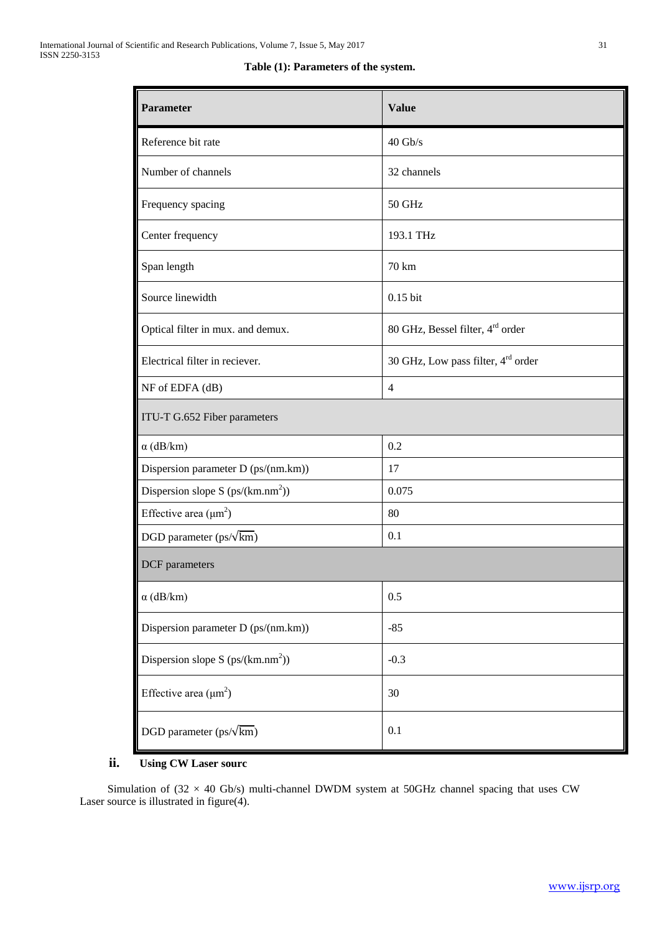| <b>Parameter</b>                    | <b>Value</b>                                 |  |
|-------------------------------------|----------------------------------------------|--|
| Reference bit rate                  | $40$ Gb/s                                    |  |
| Number of channels                  | 32 channels                                  |  |
| Frequency spacing                   | 50 GHz                                       |  |
| Center frequency                    | 193.1 THz                                    |  |
| Span length                         | 70 km                                        |  |
| Source linewidth                    | $0.15$ bit                                   |  |
| Optical filter in mux. and demux.   | 80 GHz, Bessel filter, 4 <sup>rd</sup> order |  |
| Electrical filter in reciever.      | 30 GHz, Low pass filter, 4rd order           |  |
| NF of EDFA (dB)                     | $\overline{4}$                               |  |
| ITU-T G.652 Fiber parameters        |                                              |  |
| $\alpha$ (dB/km)                    | 0.2                                          |  |
| Dispersion parameter D (ps/(nm.km)) | 17                                           |  |
| Dispersion slope S $(ps/(km.nm^2))$ | 0.075                                        |  |
| Effective area $(\mu m^2)$          | 80                                           |  |
| DGD parameter $(ps/\sqrt{km})$      | 0.1                                          |  |
| DCF parameters                      |                                              |  |
| $\alpha$ (dB/km)                    | 0.5                                          |  |
| Dispersion parameter D (ps/(nm.km)) | $-85$                                        |  |
| Dispersion slope S $(ps/(km.nm^2))$ | $-0.3$                                       |  |
| Effective area $(\mu m^2)$          | 30                                           |  |
| DGD parameter $(ps/\sqrt{\rm km})$  | 0.1                                          |  |

# **ii. Using CW Laser sourc**

Simulation of  $(32 \times 40 \text{ Gb/s})$  multi-channel DWDM system at 50GHz channel spacing that uses CW Laser source is illustrated in figure(4).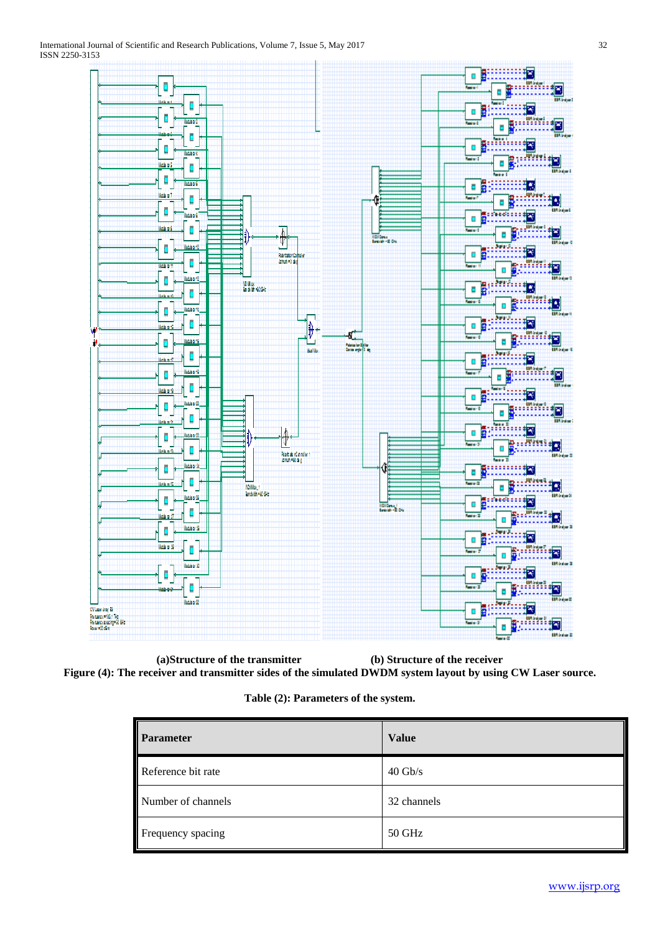

**(a)Structure of the transmitter (b) Structure of the receiver Figure (4): The receiver and transmitter sides of the simulated DWDM system layout by using CW Laser source.**

**Table (2): Parameters of the system.**

| Parameter          | <b>Value</b>      |
|--------------------|-------------------|
| Reference bit rate | $40 \text{ Gb/s}$ |
| Number of channels | 32 channels       |
| Frequency spacing  | 50 GHz            |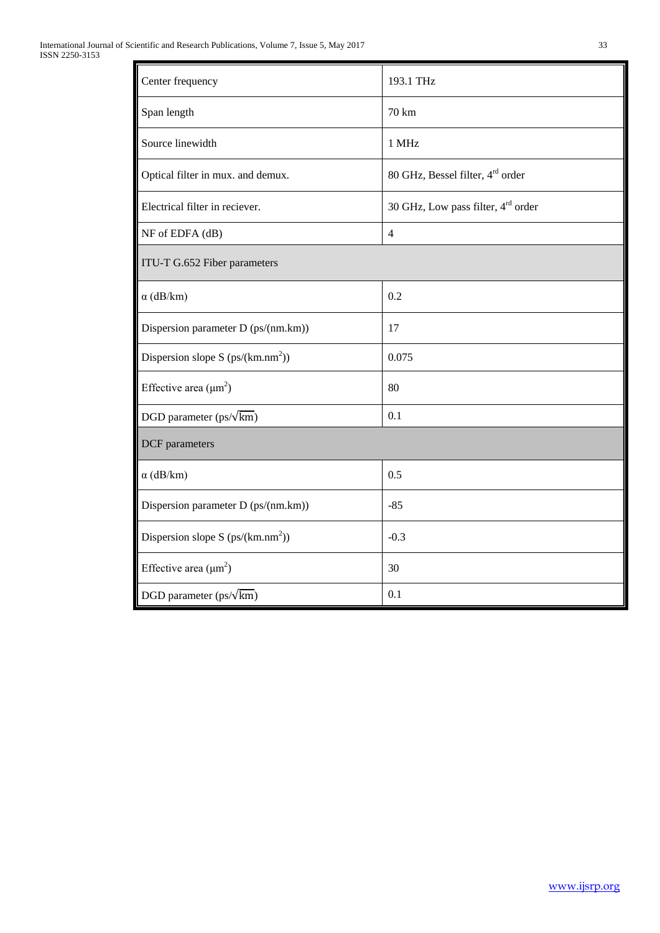| Center frequency                     | 193.1 THz                                      |  |
|--------------------------------------|------------------------------------------------|--|
| Span length                          | 70 km                                          |  |
| Source linewidth                     | 1 MHz                                          |  |
| Optical filter in mux. and demux.    | 80 GHz, Bessel filter, 4 <sup>rd</sup> order   |  |
| Electrical filter in reciever.       | 30 GHz, Low pass filter, 4 <sup>rd</sup> order |  |
| NF of EDFA (dB)                      | $\overline{4}$                                 |  |
| ITU-T G.652 Fiber parameters         |                                                |  |
| $\alpha$ (dB/km)                     | 0.2                                            |  |
| Dispersion parameter D (ps/(nm.km))  | 17                                             |  |
| Dispersion slope S $(ps/(km.nm^2))$  | 0.075                                          |  |
| Effective area $(\mu m^2)$           | 80                                             |  |
| DGD parameter $(ps/\sqrt{km})$       | 0.1                                            |  |
| DCF parameters                       |                                                |  |
| $\alpha$ (dB/km)                     | 0.5                                            |  |
| Dispersion parameter D (ps/(nm.km))  | $-85$                                          |  |
| Dispersion slope S $(ps/(km.nm^2))$  | $-0.3$                                         |  |
| Effective area $(\mu m^2)$           | 30                                             |  |
| DGD parameter (ps/ $\sqrt{\rm km}$ ) | 0.1                                            |  |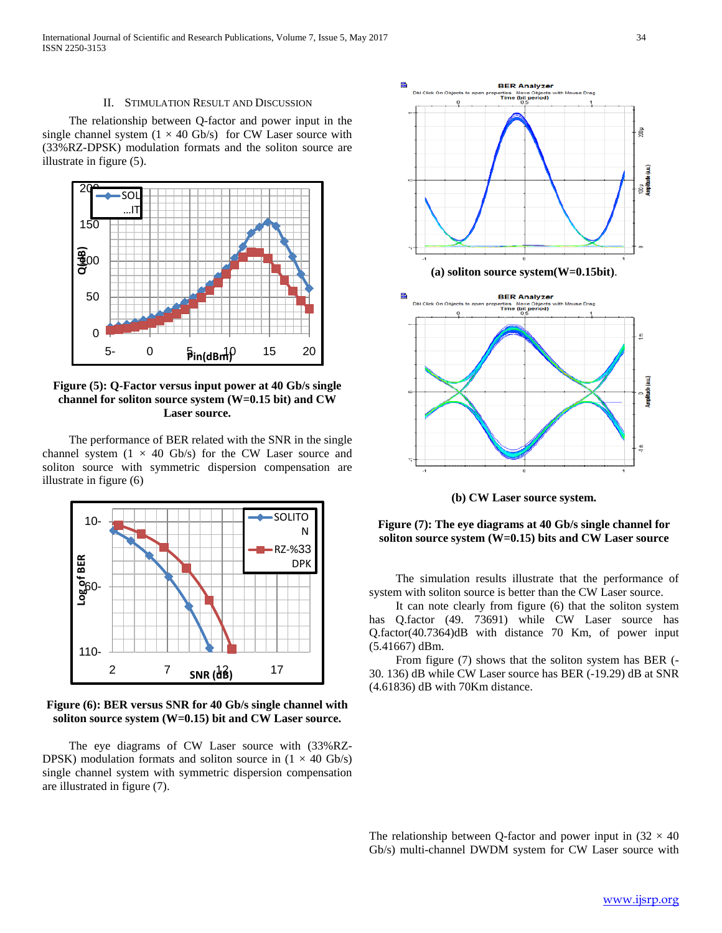#### II. STIMULATION RESULT AND DISCUSSION

 The relationship between Q-factor and power input in the single channel system  $(1 \times 40 \text{ Gb/s})$  for CW Laser source with (33%RZ-DPSK) modulation formats and the soliton source are illustrate in figure (5).



**Figure (5): Q-Factor versus input power at 40 Gb/s single channel for soliton source system (W=0.15 bit) and CW Laser source.**

 The performance of BER related with the SNR in the single channel system  $(1 \times 40 \text{Gb/s})$  for the CW Laser source and soliton source with symmetric dispersion compensation are illustrate in figure (6)



**Figure (6): BER versus SNR for 40 Gb/s single channel with soliton source system (W=0.15) bit and CW Laser source.**

 The eye diagrams of CW Laser source with (33%RZ-DPSK) modulation formats and soliton source in  $(1 \times 40 \text{ Gb/s})$ single channel system with symmetric dispersion compensation are illustrated in figure (7).



**(b) CW Laser source system.**

**Figure (7): The eye diagrams at 40 Gb/s single channel for soliton source system (W=0.15) bits and CW Laser source**

 The simulation results illustrate that the performance of system with soliton source is better than the CW Laser source.

 It can note clearly from figure (6) that the soliton system has Q.factor (49. 73691) while CW Laser source has Q.factor(40.7364)dB with distance 70 Km, of power input (5.41667) dBm.

 From figure (7) shows that the soliton system has BER (- 30. 136) dB while CW Laser source has BER (-19.29) dB at SNR (4.61836) dB with 70Km distance.

The relationship between Q-factor and power input in  $(32 \times 40)$ Gb/s) multi-channel DWDM system for CW Laser source with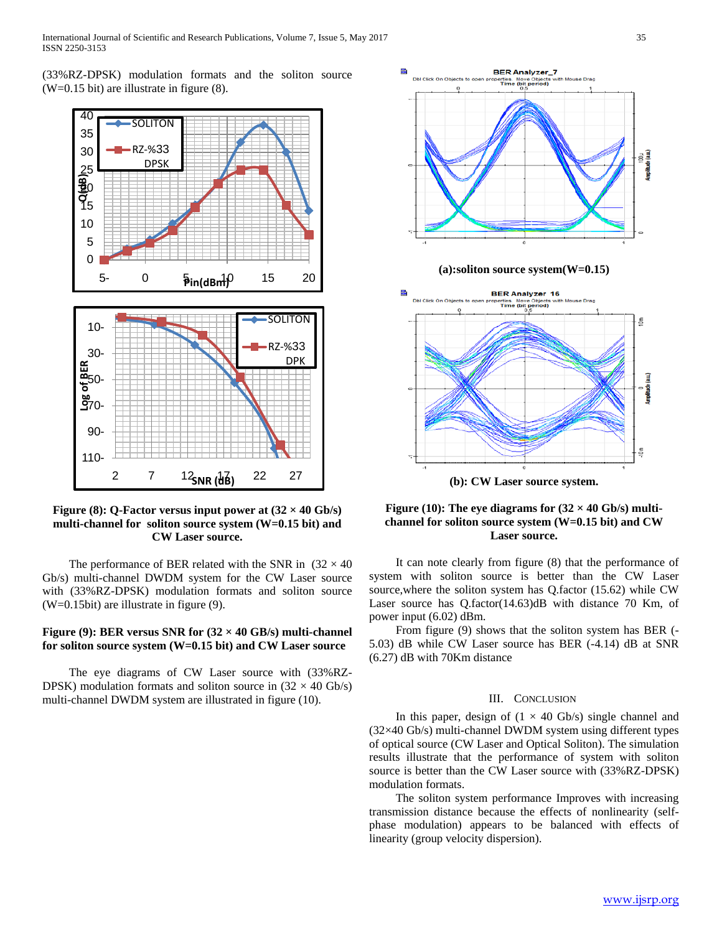(33%RZ-DPSK) modulation formats and the soliton source (W=0.15 bit) are illustrate in figure (8).



Figure (8): Q-Factor versus input power at  $(32 \times 40 \text{ Gb/s})$ **multi-channel for soliton source system (W=0.15 bit) and CW Laser source.**

The performance of BER related with the SNR in  $(32 \times 40)$ Gb/s) multi-channel DWDM system for the CW Laser source with (33%RZ-DPSK) modulation formats and soliton source (W=0.15bit) are illustrate in figure (9).

## **Figure (9): BER versus SNR for (32 × 40 GB/s) multi-channel for soliton source system (W=0.15 bit) and CW Laser source**

 The eye diagrams of CW Laser source with (33%RZ-DPSK) modulation formats and soliton source in  $(32 \times 40 \text{ Gb/s})$ multi-channel DWDM system are illustrated in figure (10).



## Figure (10): The eye diagrams for  $(32 \times 40 \text{ Gb/s})$  multi**channel for soliton source system (W=0.15 bit) and CW Laser source.**

 It can note clearly from figure (8) that the performance of system with soliton source is better than the CW Laser source,where the soliton system has Q.factor (15.62) while CW Laser source has Q.factor(14.63)dB with distance 70 Km, of power input (6.02) dBm.

 From figure (9) shows that the soliton system has BER (- 5.03) dB while CW Laser source has BER (-4.14) dB at SNR (6.27) dB with 70Km distance

#### III. CONCLUSION

In this paper, design of  $(1 \times 40 \text{ Gb/s})$  single channel and (32×40 Gb/s) multi-channel DWDM system using different types of optical source (CW Laser and Optical Soliton). The simulation results illustrate that the performance of system with soliton source is better than the CW Laser source with (33%RZ-DPSK) modulation formats.

 The soliton system performance Improves with increasing transmission distance because the effects of nonlinearity (selfphase modulation) appears to be balanced with effects of linearity (group velocity dispersion).